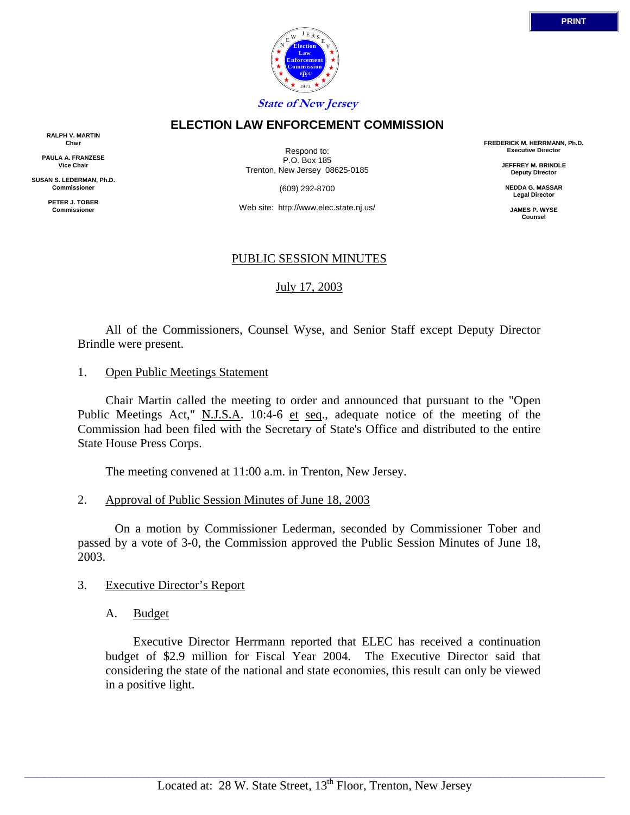

### **ELECTION LAW ENFORCEMENT COMMISSION**

**RALPH V. MARTIN Chair**

**PAULA A. FRANZESE Vice Chair**

**SUSAN S. LEDERMAN, Ph.D. Commissioner**

> **PETER J. TOBER Commissioner**

Respond to: P.O. Box 185 Trenton, New Jersey 08625-0185

(609) 292-8700

Web site: http://www.elec.state.nj.us/

# PUBLIC SESSION MINUTES

# July 17, 2003

 All of the Commissioners, Counsel Wyse, and Senior Staff except Deputy Director Brindle were present.

1. Open Public Meetings Statement

 Chair Martin called the meeting to order and announced that pursuant to the "Open Public Meetings Act," N.J.S.A. 10:4-6 et seq., adequate notice of the meeting of the Commission had been filed with the Secretary of State's Office and distributed to the entire State House Press Corps.

The meeting convened at 11:00 a.m. in Trenton, New Jersey.

2. Approval of Public Session Minutes of June 18, 2003

 On a motion by Commissioner Lederman, seconded by Commissioner Tober and passed by a vote of 3-0, the Commission approved the Public Session Minutes of June 18, 2003.

# 3. Executive Director's Report

A. Budget

 Executive Director Herrmann reported that ELEC has received a continuation budget of \$2.9 million for Fiscal Year 2004. The Executive Director said that considering the state of the national and state economies, this result can only be viewed in a positive light.

**FREDERICK M. HERRMANN, Ph.D. Executive Director**

> **JEFFREY M. BRINDLE Deputy Director**

**NEDDA G. MASSAR Legal Director**

**JAMES P. WYSE Counsel**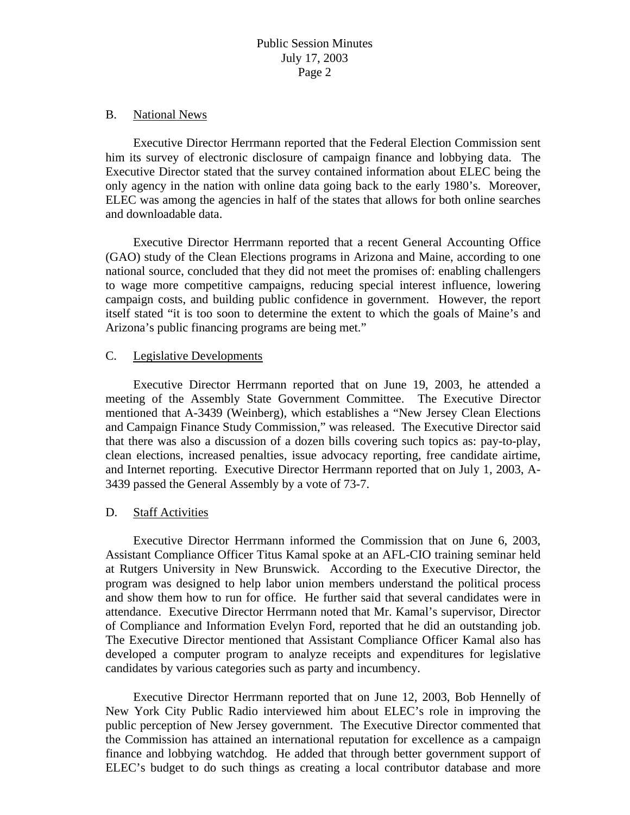### B. National News

 Executive Director Herrmann reported that the Federal Election Commission sent him its survey of electronic disclosure of campaign finance and lobbying data. The Executive Director stated that the survey contained information about ELEC being the only agency in the nation with online data going back to the early 1980's. Moreover, ELEC was among the agencies in half of the states that allows for both online searches and downloadable data.

 Executive Director Herrmann reported that a recent General Accounting Office (GAO) study of the Clean Elections programs in Arizona and Maine, according to one national source, concluded that they did not meet the promises of: enabling challengers to wage more competitive campaigns, reducing special interest influence, lowering campaign costs, and building public confidence in government. However, the report itself stated "it is too soon to determine the extent to which the goals of Maine's and Arizona's public financing programs are being met."

### C. Legislative Developments

Executive Director Herrmann reported that on June 19, 2003, he attended a meeting of the Assembly State Government Committee. The Executive Director mentioned that A-3439 (Weinberg), which establishes a "New Jersey Clean Elections and Campaign Finance Study Commission," was released. The Executive Director said that there was also a discussion of a dozen bills covering such topics as: pay-to-play, clean elections, increased penalties, issue advocacy reporting, free candidate airtime, and Internet reporting. Executive Director Herrmann reported that on July 1, 2003, A-3439 passed the General Assembly by a vote of 73-7.

### D. Staff Activities

 Executive Director Herrmann informed the Commission that on June 6, 2003, Assistant Compliance Officer Titus Kamal spoke at an AFL-CIO training seminar held at Rutgers University in New Brunswick. According to the Executive Director, the program was designed to help labor union members understand the political process and show them how to run for office. He further said that several candidates were in attendance. Executive Director Herrmann noted that Mr. Kamal's supervisor, Director of Compliance and Information Evelyn Ford, reported that he did an outstanding job. The Executive Director mentioned that Assistant Compliance Officer Kamal also has developed a computer program to analyze receipts and expenditures for legislative candidates by various categories such as party and incumbency.

 Executive Director Herrmann reported that on June 12, 2003, Bob Hennelly of New York City Public Radio interviewed him about ELEC's role in improving the public perception of New Jersey government. The Executive Director commented that the Commission has attained an international reputation for excellence as a campaign finance and lobbying watchdog. He added that through better government support of ELEC's budget to do such things as creating a local contributor database and more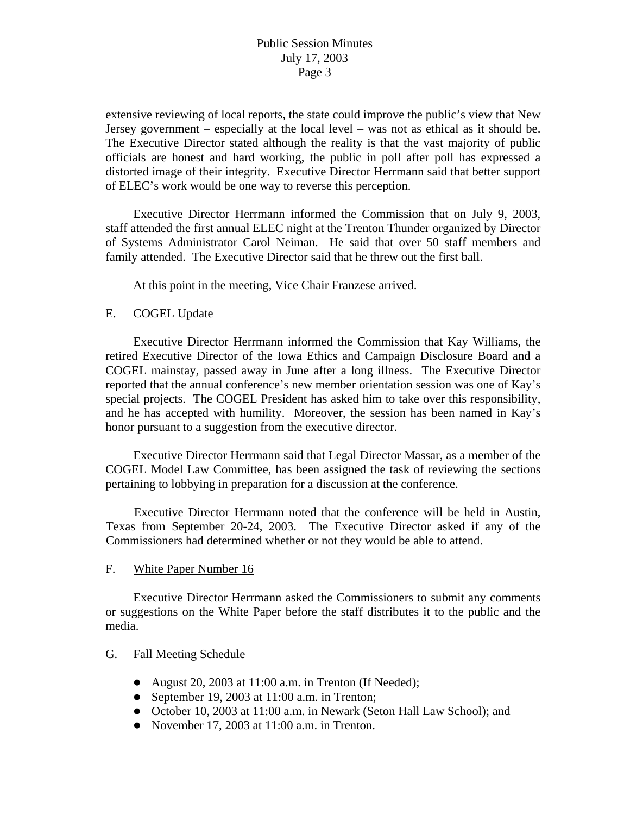extensive reviewing of local reports, the state could improve the public's view that New Jersey government – especially at the local level – was not as ethical as it should be. The Executive Director stated although the reality is that the vast majority of public officials are honest and hard working, the public in poll after poll has expressed a distorted image of their integrity. Executive Director Herrmann said that better support of ELEC's work would be one way to reverse this perception.

Executive Director Herrmann informed the Commission that on July 9, 2003, staff attended the first annual ELEC night at the Trenton Thunder organized by Director of Systems Administrator Carol Neiman. He said that over 50 staff members and family attended. The Executive Director said that he threw out the first ball.

At this point in the meeting, Vice Chair Franzese arrived.

### E. COGEL Update

Executive Director Herrmann informed the Commission that Kay Williams, the retired Executive Director of the Iowa Ethics and Campaign Disclosure Board and a COGEL mainstay, passed away in June after a long illness. The Executive Director reported that the annual conference's new member orientation session was one of Kay's special projects. The COGEL President has asked him to take over this responsibility, and he has accepted with humility. Moreover, the session has been named in Kay's honor pursuant to a suggestion from the executive director.

Executive Director Herrmann said that Legal Director Massar, as a member of the COGEL Model Law Committee, has been assigned the task of reviewing the sections pertaining to lobbying in preparation for a discussion at the conference.

Executive Director Herrmann noted that the conference will be held in Austin, Texas from September 20-24, 2003. The Executive Director asked if any of the Commissioners had determined whether or not they would be able to attend.

### F. White Paper Number 16

 Executive Director Herrmann asked the Commissioners to submit any comments or suggestions on the White Paper before the staff distributes it to the public and the media.

# G. Fall Meeting Schedule

- August 20, 2003 at  $11:00$  a.m. in Trenton (If Needed);
- September 19, 2003 at  $11:00$  a.m. in Trenton;
- October 10, 2003 at 11:00 a.m. in Newark (Seton Hall Law School); and
- November 17, 2003 at  $11:00$  a.m. in Trenton.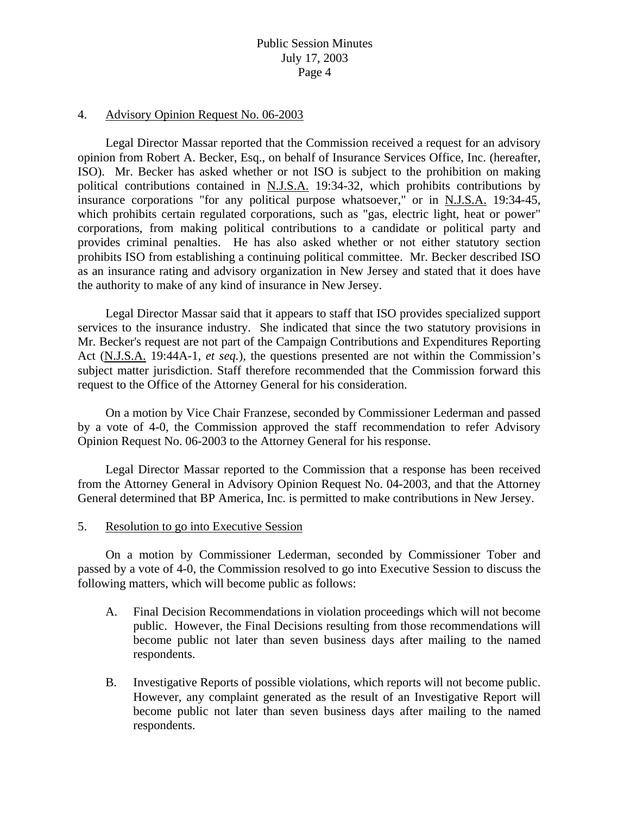### 4. Advisory Opinion Request No. 06-2003

Legal Director Massar reported that the Commission received a request for an advisory opinion from Robert A. Becker, Esq., on behalf of Insurance Services Office, Inc. (hereafter, ISO). Mr. Becker has asked whether or not ISO is subject to the prohibition on making political contributions contained in N.J.S.A. 19:34-32, which prohibits contributions by insurance corporations "for any political purpose whatsoever," or in N.J.S.A. 19:34-45, which prohibits certain regulated corporations, such as "gas, electric light, heat or power" corporations, from making political contributions to a candidate or political party and provides criminal penalties. He has also asked whether or not either statutory section prohibits ISO from establishing a continuing political committee. Mr. Becker described ISO as an insurance rating and advisory organization in New Jersey and stated that it does have the authority to make of any kind of insurance in New Jersey.

Legal Director Massar said that it appears to staff that ISO provides specialized support services to the insurance industry. She indicated that since the two statutory provisions in Mr. Becker's request are not part of the Campaign Contributions and Expenditures Reporting Act (N.J.S.A. 19:44A-1, *et seq.*), the questions presented are not within the Commission's subject matter jurisdiction. Staff therefore recommended that the Commission forward this request to the Office of the Attorney General for his consideration.

On a motion by Vice Chair Franzese, seconded by Commissioner Lederman and passed by a vote of 4-0, the Commission approved the staff recommendation to refer Advisory Opinion Request No. 06-2003 to the Attorney General for his response.

Legal Director Massar reported to the Commission that a response has been received from the Attorney General in Advisory Opinion Request No. 04-2003, and that the Attorney General determined that BP America, Inc. is permitted to make contributions in New Jersey.

### 5. Resolution to go into Executive Session

 On a motion by Commissioner Lederman, seconded by Commissioner Tober and passed by a vote of 4-0, the Commission resolved to go into Executive Session to discuss the following matters, which will become public as follows:

- A. Final Decision Recommendations in violation proceedings which will not become public. However, the Final Decisions resulting from those recommendations will become public not later than seven business days after mailing to the named respondents.
- B. Investigative Reports of possible violations, which reports will not become public. However, any complaint generated as the result of an Investigative Report will become public not later than seven business days after mailing to the named respondents.